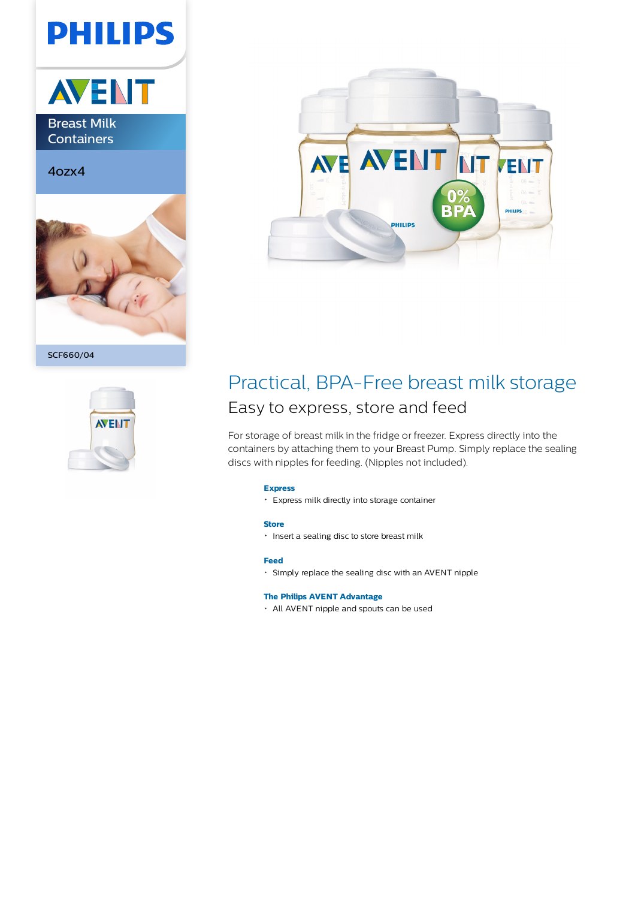# **PHILIPS**



Breast Milk **Containers** 

4ozx4



SCF660/04





## Practical, BPA-Free breast milk storage Easy to express, store and feed

For storage of breast milk in the fridge or freezer. Express directly into the containers by attaching them to your Breast Pump. Simply replace the sealing discs with nipples for feeding. (Nipples not included).

#### **Express**

Express milk directly into storage container

#### **Store**

**·** Insert a sealing disc to store breast milk

## **Feed**

Simply replace the sealing disc with an AVENT nipple

### **The Philips AVENT Advantage**

All AVENT nipple and spouts can be used